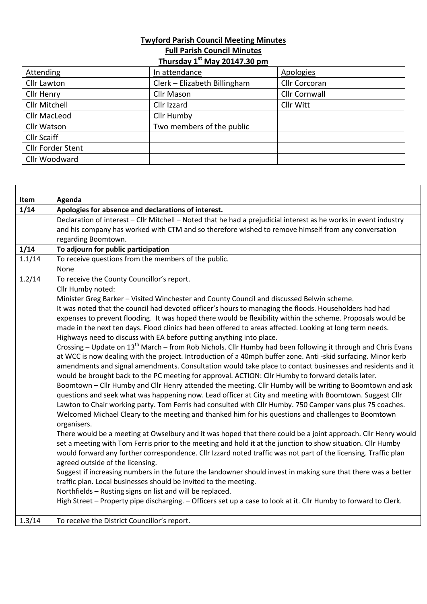## **Twyford Parish Council Meeting Minutes Full Parish Council Minutes**

|--|

| <b>Attending</b>         | In attendance                | <b>Apologies</b>     |
|--------------------------|------------------------------|----------------------|
| Cllr Lawton              | Clerk - Elizabeth Billingham | <b>Cllr Corcoran</b> |
| Cllr Henry               | <b>Cllr Mason</b>            | <b>Cllr Cornwall</b> |
| <b>Cllr Mitchell</b>     | Cllr Izzard                  | Cllr Witt            |
| <b>Cllr MacLeod</b>      | Cllr Humby                   |                      |
| <b>Cllr Watson</b>       | Two members of the public    |                      |
| <b>Cllr Scaiff</b>       |                              |                      |
| <b>Cllr Forder Stent</b> |                              |                      |
| Cllr Woodward            |                              |                      |

 $\Gamma$ 

| Item   | Agenda                                                                                                                   |
|--------|--------------------------------------------------------------------------------------------------------------------------|
| 1/14   | Apologies for absence and declarations of interest.                                                                      |
|        | Declaration of interest - Cllr Mitchell - Noted that he had a prejudicial interest as he works in event industry         |
|        | and his company has worked with CTM and so therefore wished to remove himself from any conversation                      |
|        | regarding Boomtown.                                                                                                      |
| 1/14   | To adjourn for public participation                                                                                      |
| 1.1/14 | To receive questions from the members of the public.                                                                     |
|        | None                                                                                                                     |
| 1.2/14 | To receive the County Councillor's report.                                                                               |
|        | Cllr Humby noted:                                                                                                        |
|        | Minister Greg Barker - Visited Winchester and County Council and discussed Belwin scheme.                                |
|        | It was noted that the council had devoted officer's hours to managing the floods. Householders had had                   |
|        | expenses to prevent flooding. It was hoped there would be flexibility within the scheme. Proposals would be              |
|        | made in the next ten days. Flood clinics had been offered to areas affected. Looking at long term needs.                 |
|        | Highways need to discuss with EA before putting anything into place.                                                     |
|        | Crossing - Update on 13 <sup>th</sup> March - from Rob Nichols. Cllr Humby had been following it through and Chris Evans |
|        | at WCC is now dealing with the project. Introduction of a 40mph buffer zone. Anti -skid surfacing. Minor kerb            |
|        | amendments and signal amendments. Consultation would take place to contact businesses and residents and it               |
|        | would be brought back to the PC meeting for approval. ACTION: Cllr Humby to forward details later.                       |
|        | Boomtown - Cllr Humby and Cllr Henry attended the meeting. Cllr Humby will be writing to Boomtown and ask                |
|        | questions and seek what was happening now. Lead officer at City and meeting with Boomtown. Suggest Cllr                  |
|        | Lawton to Chair working party. Tom Ferris had consulted with Cllr Humby. 750 Camper vans plus 75 coaches.                |
|        | Welcomed Michael Cleary to the meeting and thanked him for his questions and challenges to Boomtown                      |
|        | organisers.                                                                                                              |
|        | There would be a meeting at Owselbury and it was hoped that there could be a joint approach. Cllr Henry would            |
|        | set a meeting with Tom Ferris prior to the meeting and hold it at the junction to show situation. Cllr Humby             |
|        | would forward any further correspondence. Cllr Izzard noted traffic was not part of the licensing. Traffic plan          |
|        | agreed outside of the licensing.                                                                                         |
|        | Suggest if increasing numbers in the future the landowner should invest in making sure that there was a better           |
|        | traffic plan. Local businesses should be invited to the meeting.                                                         |
|        | Northfields - Rusting signs on list and will be replaced.                                                                |
|        | High Street - Property pipe discharging. - Officers set up a case to look at it. Cllr Humby to forward to Clerk.         |
|        |                                                                                                                          |
| 1.3/14 | To receive the District Councillor's report.                                                                             |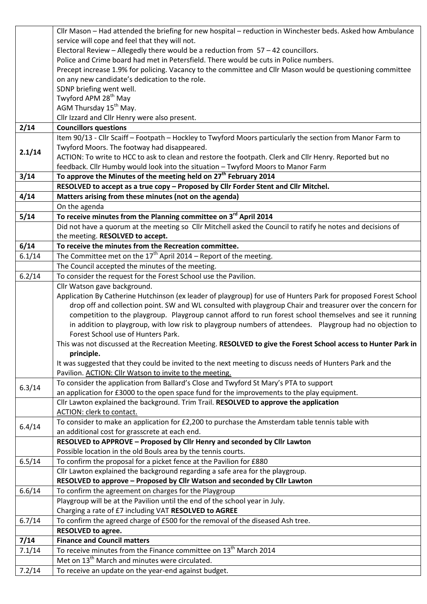|        | Cllr Mason - Had attended the briefing for new hospital - reduction in Winchester beds. Asked how Ambulance                                |
|--------|--------------------------------------------------------------------------------------------------------------------------------------------|
|        | service will cope and feel that they will not.                                                                                             |
|        | Electoral Review - Allegedly there would be a reduction from 57 - 42 councillors.                                                          |
|        | Police and Crime board had met in Petersfield. There would be cuts in Police numbers.                                                      |
|        | Precept increase 1.9% for policing. Vacancy to the committee and Cllr Mason would be questioning committee                                 |
|        | on any new candidate's dedication to the role.                                                                                             |
|        | SDNP briefing went well.                                                                                                                   |
|        | Twyford APM 28 <sup>th</sup> May                                                                                                           |
|        | AGM Thursday 15 <sup>th</sup> May.                                                                                                         |
|        | Cllr Izzard and Cllr Henry were also present.                                                                                              |
| 2/14   | <b>Councillors questions</b>                                                                                                               |
|        | Item 90/13 - Cllr Scaiff - Footpath - Hockley to Twyford Moors particularly the section from Manor Farm to                                 |
| 2.1/14 | Twyford Moors. The footway had disappeared.                                                                                                |
|        | ACTION: To write to HCC to ask to clean and restore the footpath. Clerk and Cllr Henry. Reported but no                                    |
|        | feedback. Cllr Humby would look into the situation - Twyford Moors to Manor Farm                                                           |
| 3/14   | To approve the Minutes of the meeting held on 27 <sup>th</sup> February 2014                                                               |
|        | RESOLVED to accept as a true copy - Proposed by Cllr Forder Stent and Cllr Mitchel.                                                        |
| 4/14   | Matters arising from these minutes (not on the agenda)                                                                                     |
|        | On the agenda                                                                                                                              |
| 5/14   | To receive minutes from the Planning committee on 3rd April 2014                                                                           |
|        | Did not have a quorum at the meeting so Cllr Mitchell asked the Council to ratify he notes and decisions of                                |
|        | the meeting. RESOLVED to accept.                                                                                                           |
| 6/14   | To receive the minutes from the Recreation committee.                                                                                      |
| 6.1/14 | The Committee met on the $17th$ April 2014 – Report of the meeting.                                                                        |
|        | The Council accepted the minutes of the meeting.                                                                                           |
| 6.2/14 | To consider the request for the Forest School use the Pavilion.                                                                            |
|        | Cllr Watson gave background.                                                                                                               |
|        | Application By Catherine Hutchinson (ex leader of playgroup) for use of Hunters Park for proposed Forest School                            |
|        | drop off and collection point. SW and WL consulted with playgroup Chair and treasurer over the concern for                                 |
|        | competition to the playgroup. Playgroup cannot afford to run forest school themselves and see it running                                   |
|        | in addition to playgroup, with low risk to playgroup numbers of attendees.  Playgroup had no objection to                                  |
|        | Forest School use of Hunters Park.                                                                                                         |
|        | This was not discussed at the Recreation Meeting. RESOLVED to give the Forest School access to Hunter Park in                              |
|        | principle.                                                                                                                                 |
|        | It was suggested that they could be invited to the next meeting to discuss needs of Hunters Park and the                                   |
|        | Pavilion. ACTION: Cllr Watson to invite to the meeting.                                                                                    |
| 6.3/14 | To consider the application from Ballard's Close and Twyford St Mary's PTA to support                                                      |
|        | an application for £3000 to the open space fund for the improvements to the play equipment.                                                |
|        | Cllr Lawton explained the background. Trim Trail. RESOLVED to approve the application                                                      |
|        | ACTION: clerk to contact.                                                                                                                  |
| 6.4/14 | To consider to make an application for £2,200 to purchase the Amsterdam table tennis table with                                            |
|        | an additional cost for grasscrete at each end.                                                                                             |
|        | RESOLVED to APPROVE - Proposed by Cllr Henry and seconded by Cllr Lawton                                                                   |
|        | Possible location in the old Bouls area by the tennis courts.                                                                              |
| 6.5/14 | To confirm the proposal for a picket fence at the Pavilion for £880                                                                        |
|        | Cllr Lawton explained the background regarding a safe area for the playgroup.                                                              |
|        | RESOLVED to approve - Proposed by Cllr Watson and seconded by Cllr Lawton                                                                  |
| 6.6/14 | To confirm the agreement on charges for the Playgroup                                                                                      |
|        | Playgroup will be at the Pavilion until the end of the school year in July.                                                                |
| 6.7/14 | Charging a rate of £7 including VAT RESOLVED to AGREE                                                                                      |
|        | To confirm the agreed charge of £500 for the removal of the diseased Ash tree.                                                             |
|        | <b>RESOLVED to agree.</b>                                                                                                                  |
| 7/14   | <b>Finance and Council matters</b>                                                                                                         |
| 7.1/14 | To receive minutes from the Finance committee on 13 <sup>th</sup> March 2014<br>Met on 13 <sup>th</sup> March and minutes were circulated. |
|        |                                                                                                                                            |
| 7.2/14 | To receive an update on the year-end against budget.                                                                                       |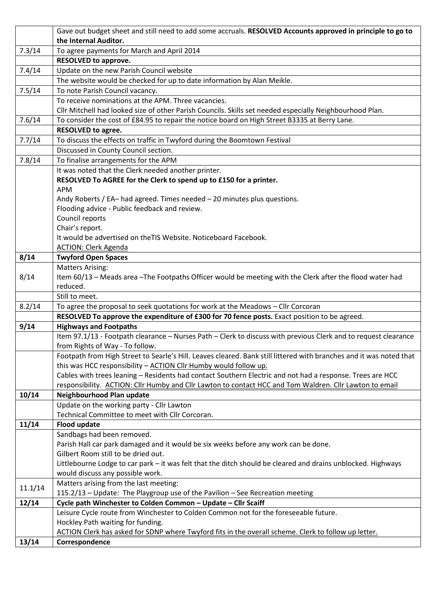|         | Gave out budget sheet and still need to add some accruals. RESOLVED Accounts approved in principle to go to                                                                   |
|---------|-------------------------------------------------------------------------------------------------------------------------------------------------------------------------------|
|         | the Internal Auditor.                                                                                                                                                         |
| 7.3/14  | To agree payments for March and April 2014                                                                                                                                    |
|         | <b>RESOLVED to approve.</b>                                                                                                                                                   |
| 7.4/14  | Update on the new Parish Council website                                                                                                                                      |
|         | The website would be checked for up to date information by Alan Meikle.                                                                                                       |
| 7.5/14  | To note Parish Council vacancy.                                                                                                                                               |
|         | To receive nominations at the APM. Three vacancies.                                                                                                                           |
|         | Cllr Mitchell had looked size of other Parish Councils. Skills set needed especially Neighbourhood Plan.                                                                      |
| 7.6/14  | To consider the cost of £84.95 to repair the notice board on High Street B3335 at Berry Lane.                                                                                 |
|         | <b>RESOLVED to agree.</b>                                                                                                                                                     |
| 7.7/14  | To discuss the effects on traffic in Twyford during the Boomtown Festival                                                                                                     |
|         | Discussed in County Council section.                                                                                                                                          |
| 7.8/14  | To finalise arrangements for the APM                                                                                                                                          |
|         | It was noted that the Clerk needed another printer.                                                                                                                           |
|         | RESOLVED To AGREE for the Clerk to spend up to £150 for a printer.                                                                                                            |
|         | <b>APM</b>                                                                                                                                                                    |
|         | Andy Roberts / EA-had agreed. Times needed - 20 minutes plus questions.                                                                                                       |
|         | Flooding advice - Public feedback and review.                                                                                                                                 |
|         | Council reports                                                                                                                                                               |
|         | Chair's report.                                                                                                                                                               |
|         | It would be advertised on the TIS Website. Noticeboard Facebook.                                                                                                              |
|         | <b>ACTION: Clerk Agenda</b>                                                                                                                                                   |
| 8/14    | <b>Twyford Open Spaces</b>                                                                                                                                                    |
|         | <b>Matters Arising:</b>                                                                                                                                                       |
| 8/14    | Item 60/13 - Meads area - The Footpaths Officer would be meeting with the Clerk after the flood water had                                                                     |
|         | reduced.                                                                                                                                                                      |
|         | Still to meet.                                                                                                                                                                |
| 8.2/14  | To agree the proposal to seek quotations for work at the Meadows - Cllr Corcoran                                                                                              |
|         | RESOLVED To approve the expenditure of £300 for 70 fence posts. Exact position to be agreed.                                                                                  |
| 9/14    | <b>Highways and Footpaths</b>                                                                                                                                                 |
|         | Item 97.1/13 - Footpath clearance - Nurses Path - Clerk to discuss with previous Clerk and to request clearance                                                               |
|         | from Rights of Way - To follow.                                                                                                                                               |
|         | Footpath from High Street to Searle's Hill. Leaves cleared. Bank still littered with branches and it was noted that                                                           |
|         | this was HCC responsibility - ACTION Cllr Humby would follow up.<br>Cables with trees leaning - Residents had contact Southern Electric and not had a response. Trees are HCC |
|         | responsibility. ACTION: Cllr Humby and Cllr Lawton to contact HCC and Tom Waldren. Cllr Lawton to email                                                                       |
| 10/14   | Neighbourhood Plan update                                                                                                                                                     |
|         | Update on the working party - Cllr Lawton                                                                                                                                     |
|         | Technical Committee to meet with Cllr Corcoran.                                                                                                                               |
| 11/14   | <b>Flood update</b>                                                                                                                                                           |
|         | Sandbags had been removed.                                                                                                                                                    |
|         | Parish Hall car park damaged and it would be six weeks before any work can be done.                                                                                           |
|         | Gilbert Room still to be dried out.                                                                                                                                           |
|         | Littlebourne Lodge to car park - it was felt that the ditch should be cleared and drains unblocked. Highways                                                                  |
|         | would discuss any possible work.                                                                                                                                              |
|         | Matters arising from the last meeting:                                                                                                                                        |
| 11.1/14 | 115.2/13 - Update: The Playgroup use of the Pavilion - See Recreation meeting                                                                                                 |
| 12/14   | Cycle path Winchester to Colden Common - Update - Cllr Scaiff                                                                                                                 |
|         | Leisure Cycle route from Winchester to Colden Common not for the foreseeable future.                                                                                          |
|         | Hockley Path waiting for funding.                                                                                                                                             |
|         | ACTION Clerk has asked for SDNP where Twyford fits in the overall scheme. Clerk to follow up letter.                                                                          |
| 13/14   | Correspondence                                                                                                                                                                |